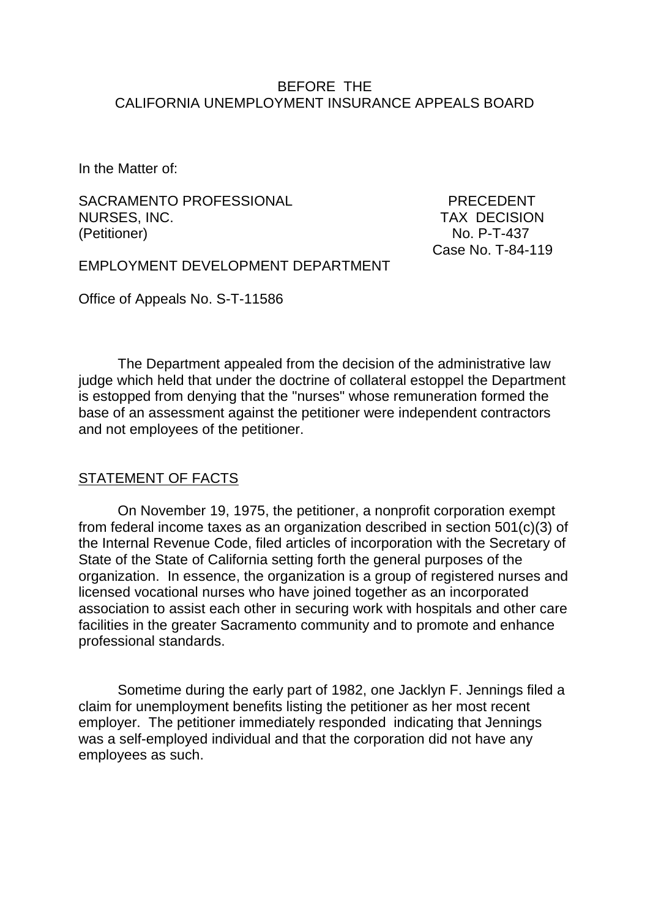#### BEFORE THE CALIFORNIA UNEMPLOYMENT INSURANCE APPEALS BOARD

In the Matter of:

SACRAMENTO PROFESSIONAL PRECEDENT NURSES, INC. TAX DECISION (Petitioner) No. P-T-437

Case No. T-84-119

EMPLOYMENT DEVELOPMENT DEPARTMENT

Office of Appeals No. S-T-11586

The Department appealed from the decision of the administrative law judge which held that under the doctrine of collateral estoppel the Department is estopped from denying that the "nurses" whose remuneration formed the base of an assessment against the petitioner were independent contractors and not employees of the petitioner.

#### STATEMENT OF FACTS

On November 19, 1975, the petitioner, a nonprofit corporation exempt from federal income taxes as an organization described in section 501(c)(3) of the Internal Revenue Code, filed articles of incorporation with the Secretary of State of the State of California setting forth the general purposes of the organization. In essence, the organization is a group of registered nurses and licensed vocational nurses who have joined together as an incorporated association to assist each other in securing work with hospitals and other care facilities in the greater Sacramento community and to promote and enhance professional standards.

Sometime during the early part of 1982, one Jacklyn F. Jennings filed a claim for unemployment benefits listing the petitioner as her most recent employer. The petitioner immediately responded indicating that Jennings was a self-employed individual and that the corporation did not have any employees as such.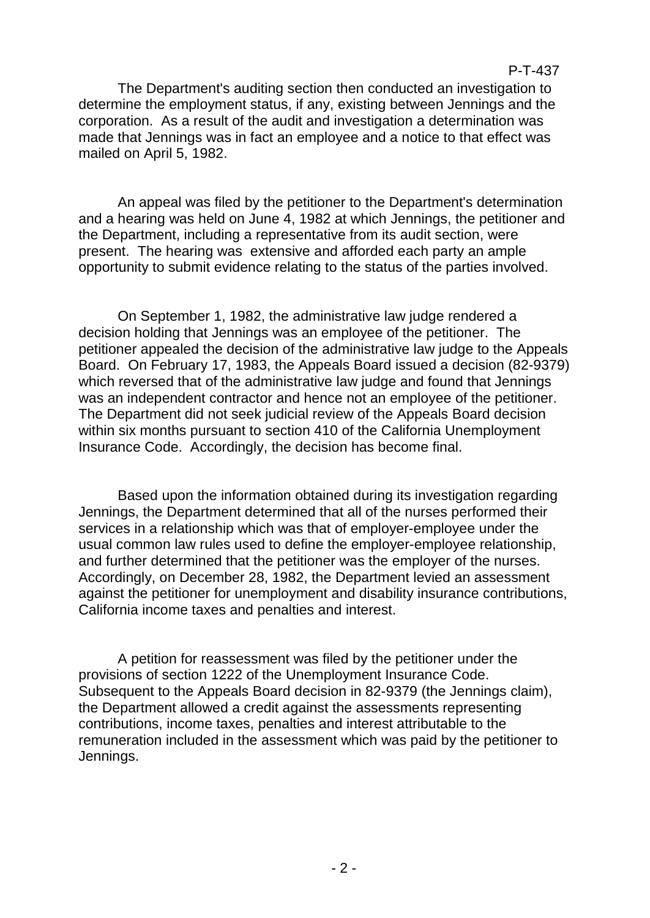#### P-T-437

The Department's auditing section then conducted an investigation to determine the employment status, if any, existing between Jennings and the corporation. As a result of the audit and investigation a determination was made that Jennings was in fact an employee and a notice to that effect was mailed on April 5, 1982.

An appeal was filed by the petitioner to the Department's determination and a hearing was held on June 4, 1982 at which Jennings, the petitioner and the Department, including a representative from its audit section, were present. The hearing was extensive and afforded each party an ample opportunity to submit evidence relating to the status of the parties involved.

On September 1, 1982, the administrative law judge rendered a decision holding that Jennings was an employee of the petitioner. The petitioner appealed the decision of the administrative law judge to the Appeals Board. On February 17, 1983, the Appeals Board issued a decision (82-9379) which reversed that of the administrative law judge and found that Jennings was an independent contractor and hence not an employee of the petitioner. The Department did not seek judicial review of the Appeals Board decision within six months pursuant to section 410 of the California Unemployment Insurance Code. Accordingly, the decision has become final.

Based upon the information obtained during its investigation regarding Jennings, the Department determined that all of the nurses performed their services in a relationship which was that of employer-employee under the usual common law rules used to define the employer-employee relationship, and further determined that the petitioner was the employer of the nurses. Accordingly, on December 28, 1982, the Department levied an assessment against the petitioner for unemployment and disability insurance contributions, California income taxes and penalties and interest.

A petition for reassessment was filed by the petitioner under the provisions of section 1222 of the Unemployment Insurance Code. Subsequent to the Appeals Board decision in 82-9379 (the Jennings claim), the Department allowed a credit against the assessments representing contributions, income taxes, penalties and interest attributable to the remuneration included in the assessment which was paid by the petitioner to Jennings.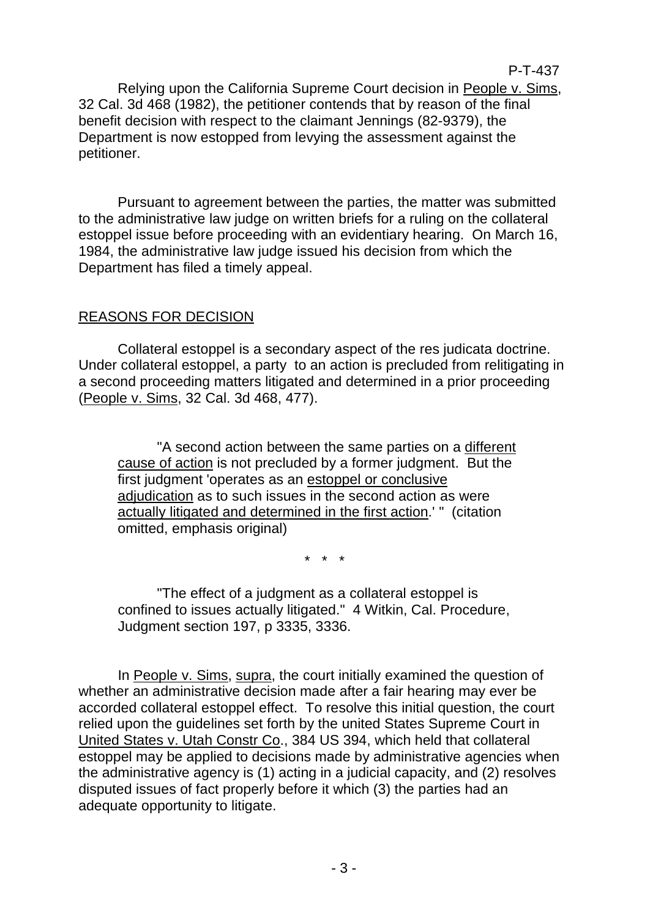#### P-T-437

Relying upon the California Supreme Court decision in People v. Sims, 32 Cal. 3d 468 (1982), the petitioner contends that by reason of the final benefit decision with respect to the claimant Jennings (82-9379), the Department is now estopped from levying the assessment against the petitioner.

Pursuant to agreement between the parties, the matter was submitted to the administrative law judge on written briefs for a ruling on the collateral estoppel issue before proceeding with an evidentiary hearing. On March 16, 1984, the administrative law judge issued his decision from which the Department has filed a timely appeal.

## REASONS FOR DECISION

Collateral estoppel is a secondary aspect of the res judicata doctrine. Under collateral estoppel, a party to an action is precluded from relitigating in a second proceeding matters litigated and determined in a prior proceeding (People v. Sims, 32 Cal. 3d 468, 477).

"A second action between the same parties on a different cause of action is not precluded by a former judgment. But the first judgment 'operates as an estoppel or conclusive adjudication as to such issues in the second action as were actually litigated and determined in the first action.' " (citation omitted, emphasis original)

\* \* \*

"The effect of a judgment as a collateral estoppel is confined to issues actually litigated." 4 Witkin, Cal. Procedure, Judgment section 197, p 3335, 3336.

In People v. Sims, supra, the court initially examined the question of whether an administrative decision made after a fair hearing may ever be accorded collateral estoppel effect. To resolve this initial question, the court relied upon the guidelines set forth by the united States Supreme Court in United States v. Utah Constr Co., 384 US 394, which held that collateral estoppel may be applied to decisions made by administrative agencies when the administrative agency is (1) acting in a judicial capacity, and (2) resolves disputed issues of fact properly before it which (3) the parties had an adequate opportunity to litigate.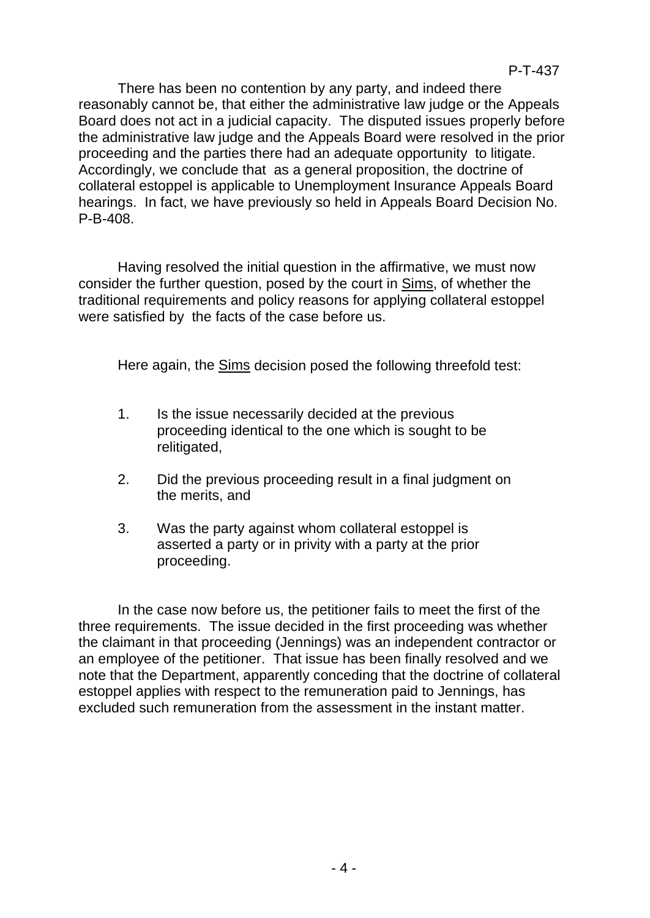There has been no contention by any party, and indeed there reasonably cannot be, that either the administrative law judge or the Appeals Board does not act in a judicial capacity. The disputed issues properly before the administrative law judge and the Appeals Board were resolved in the prior proceeding and the parties there had an adequate opportunity to litigate. Accordingly, we conclude that as a general proposition, the doctrine of collateral estoppel is applicable to Unemployment Insurance Appeals Board hearings. In fact, we have previously so held in Appeals Board Decision No. P-B-408.

Having resolved the initial question in the affirmative, we must now consider the further question, posed by the court in Sims, of whether the traditional requirements and policy reasons for applying collateral estoppel were satisfied by the facts of the case before us.

Here again, the Sims decision posed the following threefold test:

- 1. Is the issue necessarily decided at the previous proceeding identical to the one which is sought to be relitigated,
- 2. Did the previous proceeding result in a final judgment on the merits, and
- 3. Was the party against whom collateral estoppel is asserted a party or in privity with a party at the prior proceeding.

In the case now before us, the petitioner fails to meet the first of the three requirements. The issue decided in the first proceeding was whether the claimant in that proceeding (Jennings) was an independent contractor or an employee of the petitioner. That issue has been finally resolved and we note that the Department, apparently conceding that the doctrine of collateral estoppel applies with respect to the remuneration paid to Jennings, has excluded such remuneration from the assessment in the instant matter.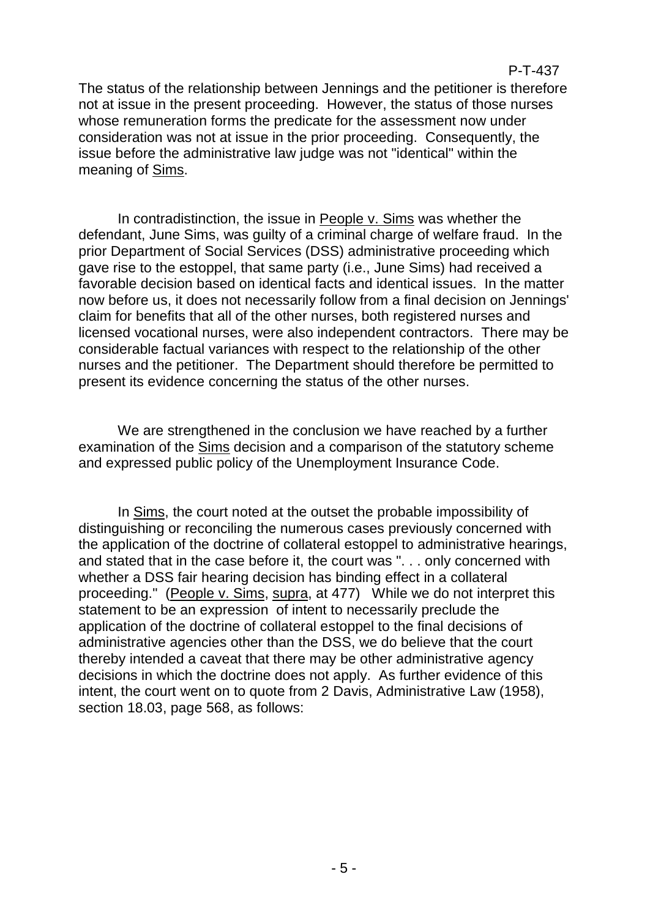# P-T-437

The status of the relationship between Jennings and the petitioner is therefore not at issue in the present proceeding. However, the status of those nurses whose remuneration forms the predicate for the assessment now under consideration was not at issue in the prior proceeding. Consequently, the issue before the administrative law judge was not "identical" within the meaning of Sims.

In contradistinction, the issue in People v. Sims was whether the defendant, June Sims, was guilty of a criminal charge of welfare fraud. In the prior Department of Social Services (DSS) administrative proceeding which gave rise to the estoppel, that same party (i.e., June Sims) had received a favorable decision based on identical facts and identical issues. In the matter now before us, it does not necessarily follow from a final decision on Jennings' claim for benefits that all of the other nurses, both registered nurses and licensed vocational nurses, were also independent contractors. There may be considerable factual variances with respect to the relationship of the other nurses and the petitioner. The Department should therefore be permitted to present its evidence concerning the status of the other nurses.

We are strengthened in the conclusion we have reached by a further examination of the Sims decision and a comparison of the statutory scheme and expressed public policy of the Unemployment Insurance Code.

In Sims, the court noted at the outset the probable impossibility of distinguishing or reconciling the numerous cases previously concerned with the application of the doctrine of collateral estoppel to administrative hearings, and stated that in the case before it, the court was ". . . only concerned with whether a DSS fair hearing decision has binding effect in a collateral proceeding." (People v. Sims, supra, at 477) While we do not interpret this statement to be an expression of intent to necessarily preclude the application of the doctrine of collateral estoppel to the final decisions of administrative agencies other than the DSS, we do believe that the court thereby intended a caveat that there may be other administrative agency decisions in which the doctrine does not apply. As further evidence of this intent, the court went on to quote from 2 Davis, Administrative Law (1958), section 18.03, page 568, as follows: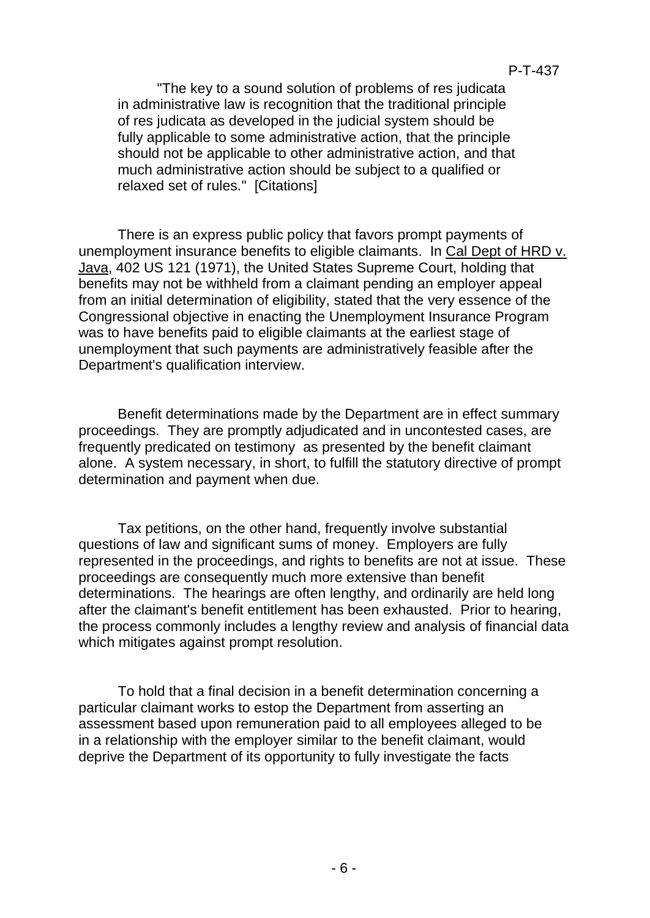"The key to a sound solution of problems of res judicata in administrative law is recognition that the traditional principle of res judicata as developed in the judicial system should be fully applicable to some administrative action, that the principle should not be applicable to other administrative action, and that much administrative action should be subject to a qualified or relaxed set of rules." [Citations]

There is an express public policy that favors prompt payments of unemployment insurance benefits to eligible claimants. In Cal Dept of HRD v. Java, 402 US 121 (1971), the United States Supreme Court, holding that benefits may not be withheld from a claimant pending an employer appeal from an initial determination of eligibility, stated that the very essence of the Congressional objective in enacting the Unemployment Insurance Program was to have benefits paid to eligible claimants at the earliest stage of unemployment that such payments are administratively feasible after the Department's qualification interview.

Benefit determinations made by the Department are in effect summary proceedings. They are promptly adjudicated and in uncontested cases, are frequently predicated on testimony as presented by the benefit claimant alone. A system necessary, in short, to fulfill the statutory directive of prompt determination and payment when due.

Tax petitions, on the other hand, frequently involve substantial questions of law and significant sums of money. Employers are fully represented in the proceedings, and rights to benefits are not at issue. These proceedings are consequently much more extensive than benefit determinations. The hearings are often lengthy, and ordinarily are held long after the claimant's benefit entitlement has been exhausted. Prior to hearing, the process commonly includes a lengthy review and analysis of financial data which mitigates against prompt resolution.

To hold that a final decision in a benefit determination concerning a particular claimant works to estop the Department from asserting an assessment based upon remuneration paid to all employees alleged to be in a relationship with the employer similar to the benefit claimant, would deprive the Department of its opportunity to fully investigate the facts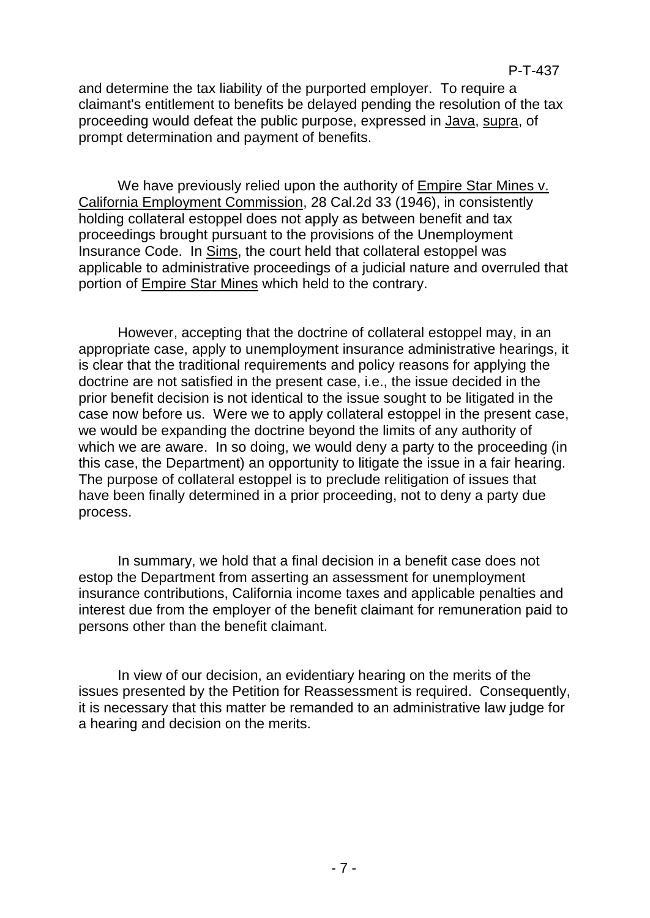and determine the tax liability of the purported employer. To require a claimant's entitlement to benefits be delayed pending the resolution of the tax proceeding would defeat the public purpose, expressed in Java, supra, of prompt determination and payment of benefits.

We have previously relied upon the authority of Empire Star Mines y. California Employment Commission, 28 Cal.2d 33 (1946), in consistently holding collateral estoppel does not apply as between benefit and tax proceedings brought pursuant to the provisions of the Unemployment Insurance Code. In Sims, the court held that collateral estoppel was applicable to administrative proceedings of a judicial nature and overruled that portion of Empire Star Mines which held to the contrary.

However, accepting that the doctrine of collateral estoppel may, in an appropriate case, apply to unemployment insurance administrative hearings, it is clear that the traditional requirements and policy reasons for applying the doctrine are not satisfied in the present case, i.e., the issue decided in the prior benefit decision is not identical to the issue sought to be litigated in the case now before us. Were we to apply collateral estoppel in the present case, we would be expanding the doctrine beyond the limits of any authority of which we are aware. In so doing, we would deny a party to the proceeding (in this case, the Department) an opportunity to litigate the issue in a fair hearing. The purpose of collateral estoppel is to preclude relitigation of issues that have been finally determined in a prior proceeding, not to deny a party due process.

In summary, we hold that a final decision in a benefit case does not estop the Department from asserting an assessment for unemployment insurance contributions, California income taxes and applicable penalties and interest due from the employer of the benefit claimant for remuneration paid to persons other than the benefit claimant.

In view of our decision, an evidentiary hearing on the merits of the issues presented by the Petition for Reassessment is required. Consequently, it is necessary that this matter be remanded to an administrative law judge for a hearing and decision on the merits.